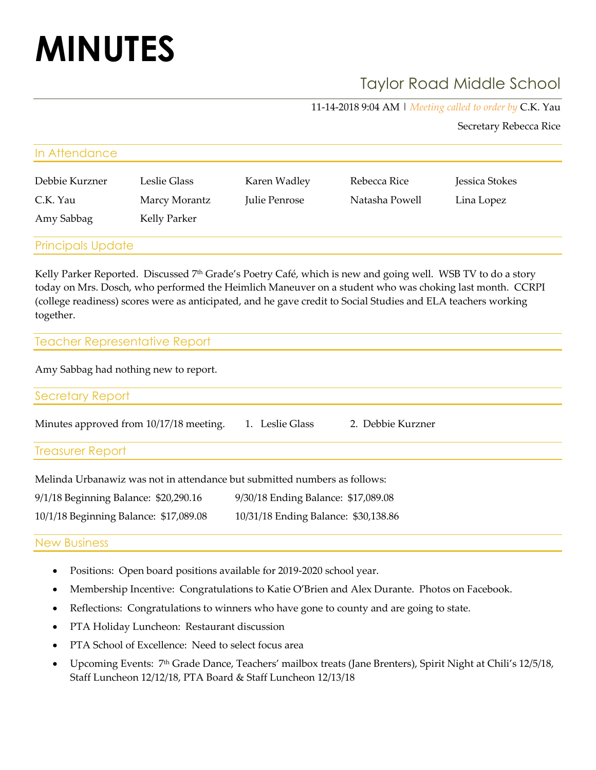# **MINUTES**

## Taylor Road Middle School

11-14-2018 9:04 AM | *Meeting called to order by* C.K. Yau

Secretary Rebecca Rice

| In Attendance            |               |               |                |                |  |
|--------------------------|---------------|---------------|----------------|----------------|--|
| Debbie Kurzner           | Leslie Glass  | Karen Wadley  | Rebecca Rice   | Jessica Stokes |  |
| C.K. Yau                 | Marcy Morantz | Julie Penrose | Natasha Powell | Lina Lopez     |  |
| Amy Sabbag               | Kelly Parker  |               |                |                |  |
|                          |               |               |                |                |  |
| <b>Principals Update</b> |               |               |                |                |  |

Kelly Parker Reported. Discussed 7<sup>th</sup> Grade's Poetry Café, which is new and going well. WSB TV to do a story today on Mrs. Dosch, who performed the Heimlich Maneuver on a student who was choking last month. CCRPI (college readiness) scores were as anticipated, and he gave credit to Social Studies and ELA teachers working together.

### Teacher Representative Report

Amy Sabbag had nothing new to report.

Secretary Report

Minutes approved from 10/17/18 meeting. 1. Leslie Glass 2. Debbie Kurzner

Treasurer Report

| Melinda Urbanawiz was not in attendance but submitted numbers as follows: |                                      |  |  |  |
|---------------------------------------------------------------------------|--------------------------------------|--|--|--|
| 9/1/18 Beginning Balance: \$20,290.16                                     | 9/30/18 Ending Balance: \$17,089.08  |  |  |  |
| 10/1/18 Beginning Balance: \$17,089.08                                    | 10/31/18 Ending Balance: \$30,138.86 |  |  |  |

#### New Business

- Positions: Open board positions available for 2019-2020 school year.
- Membership Incentive: Congratulations to Katie O'Brien and Alex Durante. Photos on Facebook.
- Reflections: Congratulations to winners who have gone to county and are going to state.
- PTA Holiday Luncheon: Restaurant discussion
- PTA School of Excellence: Need to select focus area
- Upcoming Events: 7<sup>th</sup> Grade Dance, Teachers' mailbox treats (Jane Brenters), Spirit Night at Chili's 12/5/18, Staff Luncheon 12/12/18, PTA Board & Staff Luncheon 12/13/18